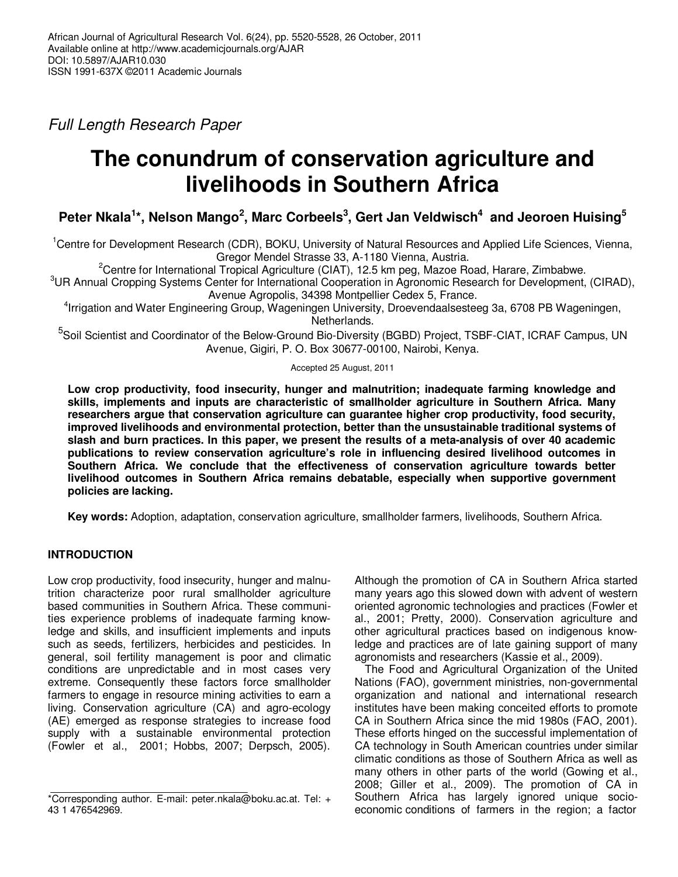Full Length Research Paper

# **The conundrum of conservation agriculture and livelihoods in Southern Africa**

## **Peter Nkala<sup>1</sup> \*, Nelson Mango<sup>2</sup> , Marc Corbeels<sup>3</sup> , Gert Jan Veldwisch<sup>4</sup> and Jeoroen Huising<sup>5</sup>**

<sup>1</sup>Centre for Development Research (CDR), BOKU, University of Natural Resources and Applied Life Sciences, Vienna, Gregor Mendel Strasse 33, A-1180 Vienna, Austria.

<sup>2</sup>Centre for International Tropical Agriculture (CIAT), 12.5 km peg, Mazoe Road, Harare, Zimbabwe.

<sup>3</sup>UR Annual Cropping Systems Center for International Cooperation in Agronomic Research for Development, (CIRAD), Avenue Agropolis, 34398 Montpellier Cedex 5, France.

4 Irrigation and Water Engineering Group, Wageningen University, Droevendaalsesteeg 3a, 6708 PB Wageningen, Netherlands.

<sup>5</sup>Soil Scientist and Coordinator of the Below-Ground Bio-Diversity (BGBD) Project, TSBF-CIAT, ICRAF Campus, UN Avenue, Gigiri, P. O. Box 30677-00100, Nairobi, Kenya.

#### Accepted 25 August, 2011

**Low crop productivity, food insecurity, hunger and malnutrition; inadequate farming knowledge and skills, implements and inputs are characteristic of smallholder agriculture in Southern Africa. Many researchers argue that conservation agriculture can guarantee higher crop productivity, food security, improved livelihoods and environmental protection, better than the unsustainable traditional systems of slash and burn practices. In this paper, we present the results of a meta-analysis of over 40 academic publications to review conservation agriculture's role in influencing desired livelihood outcomes in Southern Africa. We conclude that the effectiveness of conservation agriculture towards better livelihood outcomes in Southern Africa remains debatable, especially when supportive government policies are lacking.** 

**Key words:** Adoption, adaptation, conservation agriculture, smallholder farmers, livelihoods, Southern Africa.

## **INTRODUCTION**

Low crop productivity, food insecurity, hunger and malnutrition characterize poor rural smallholder agriculture based communities in Southern Africa. These communities experience problems of inadequate farming knowledge and skills, and insufficient implements and inputs such as seeds, fertilizers, herbicides and pesticides. In general, soil fertility management is poor and climatic conditions are unpredictable and in most cases very extreme. Consequently these factors force smallholder farmers to engage in resource mining activities to earn a living. Conservation agriculture (CA) and agro-ecology (AE) emerged as response strategies to increase food supply with a sustainable environmental protection (Fowler et al., 2001; Hobbs, 2007; Derpsch, 2005).

Although the promotion of CA in Southern Africa started many years ago this slowed down with advent of western oriented agronomic technologies and practices (Fowler et al., 2001; Pretty, 2000). Conservation agriculture and other agricultural practices based on indigenous knowledge and practices are of late gaining support of many agronomists and researchers (Kassie et al., 2009).

The Food and Agricultural Organization of the United Nations (FAO), government ministries, non-governmental organization and national and international research institutes have been making conceited efforts to promote CA in Southern Africa since the mid 1980s (FAO, 2001). These efforts hinged on the successful implementation of CA technology in South American countries under similar climatic conditions as those of Southern Africa as well as many others in other parts of the world (Gowing et al., 2008; Giller et al., 2009). The promotion of CA in Southern Africa has largely ignored unique socioeconomic conditions of farmers in the region; a factor

<sup>\*</sup>Corresponding author. E-mail: peter.nkala@boku.ac.at. Tel: + 43 1 476542969.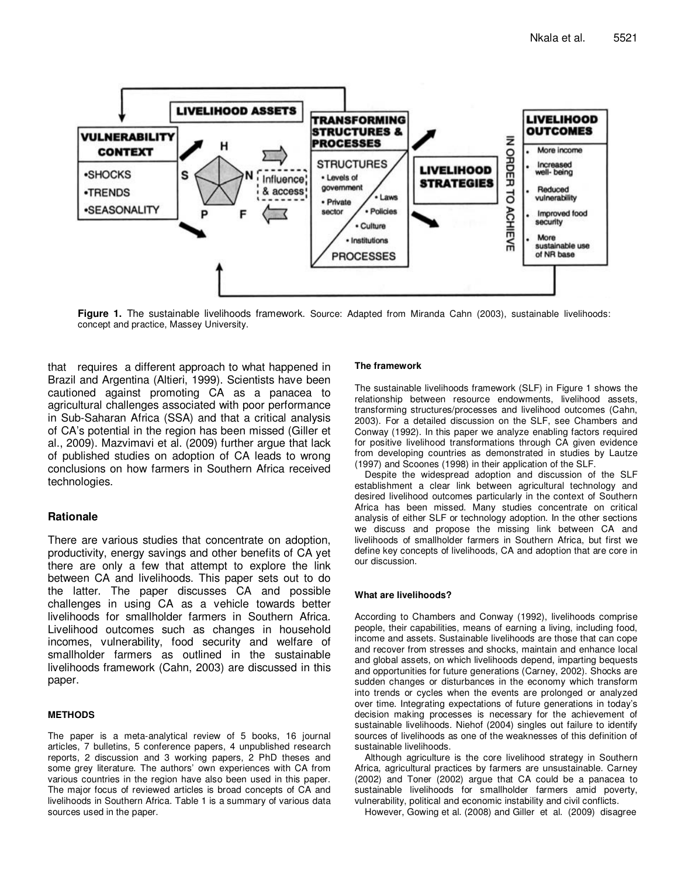

**Figure 1.** The sustainable livelihoods framework. Source: Adapted from Miranda Cahn (2003), sustainable livelihoods: concept and practice, Massey University.

that requires a different approach to what happened in Brazil and Argentina (Altieri, 1999). Scientists have been cautioned against promoting CA as a panacea to agricultural challenges associated with poor performance in Sub-Saharan Africa (SSA) and that a critical analysis of CA's potential in the region has been missed (Giller et al., 2009). Mazvimavi et al. (2009) further argue that lack of published studies on adoption of CA leads to wrong conclusions on how farmers in Southern Africa received technologies.

#### **Rationale**

There are various studies that concentrate on adoption, productivity, energy savings and other benefits of CA yet there are only a few that attempt to explore the link between CA and livelihoods. This paper sets out to do the latter. The paper discusses CA and possible challenges in using CA as a vehicle towards better livelihoods for smallholder farmers in Southern Africa. Livelihood outcomes such as changes in household incomes, vulnerability, food security and welfare of smallholder farmers as outlined in the sustainable livelihoods framework (Cahn, 2003) are discussed in this paper.

#### **METHODS**

The paper is a meta-analytical review of 5 books, 16 journal articles, 7 bulletins, 5 conference papers, 4 unpublished research reports, 2 discussion and 3 working papers, 2 PhD theses and some grey literature. The authors' own experiences with CA from various countries in the region have also been used in this paper. The major focus of reviewed articles is broad concepts of CA and livelihoods in Southern Africa. Table 1 is a summary of various data sources used in the paper.

#### **The framework**

The sustainable livelihoods framework (SLF) in Figure 1 shows the relationship between resource endowments, livelihood assets, transforming structures/processes and livelihood outcomes (Cahn, 2003). For a detailed discussion on the SLF, see Chambers and Conway (1992). In this paper we analyze enabling factors required for positive livelihood transformations through CA given evidence from developing countries as demonstrated in studies by Lautze (1997) and Scoones (1998) in their application of the SLF.

Despite the widespread adoption and discussion of the SLF establishment a clear link between agricultural technology and desired livelihood outcomes particularly in the context of Southern Africa has been missed. Many studies concentrate on critical analysis of either SLF or technology adoption. In the other sections we discuss and propose the missing link between CA and livelihoods of smallholder farmers in Southern Africa, but first we define key concepts of livelihoods, CA and adoption that are core in our discussion.

#### **What are livelihoods?**

According to Chambers and Conway (1992), livelihoods comprise people, their capabilities, means of earning a living, including food, income and assets. Sustainable livelihoods are those that can cope and recover from stresses and shocks, maintain and enhance local and global assets, on which livelihoods depend, imparting bequests and opportunities for future generations (Carney, 2002). Shocks are sudden changes or disturbances in the economy which transform into trends or cycles when the events are prolonged or analyzed over time. Integrating expectations of future generations in today's decision making processes is necessary for the achievement of sustainable livelihoods. Niehof (2004) singles out failure to identify sources of livelihoods as one of the weaknesses of this definition of sustainable livelihoods.

Although agriculture is the core livelihood strategy in Southern Africa, agricultural practices by farmers are unsustainable. Carney (2002) and Toner (2002) argue that CA could be a panacea to sustainable livelihoods for smallholder farmers amid poverty, vulnerability, political and economic instability and civil conflicts.

However, Gowing et al. (2008) and Giller et al. (2009) disagree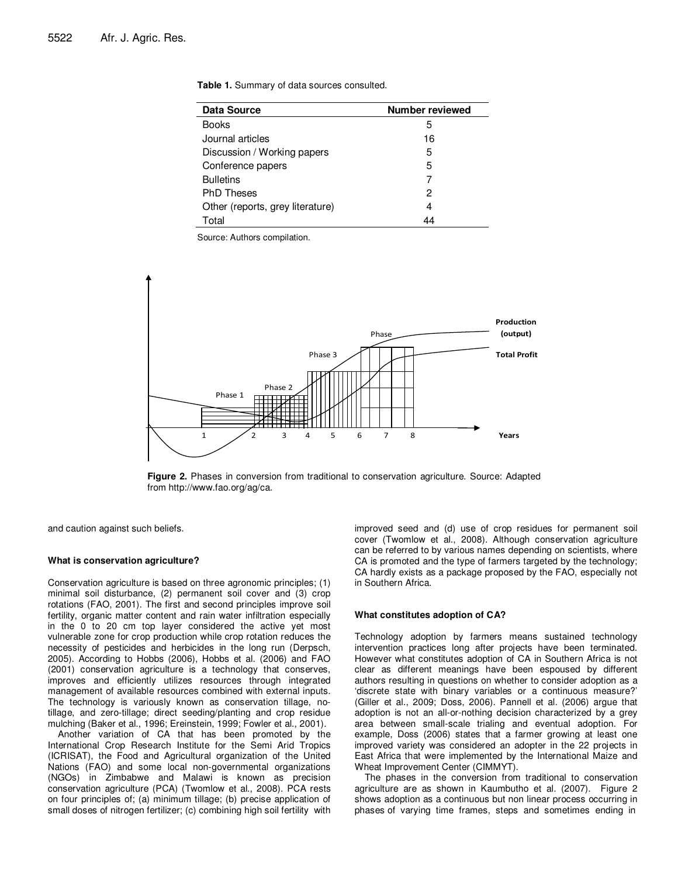| <b>Data Source</b>               | <b>Number reviewed</b> |
|----------------------------------|------------------------|
| Books                            | 5                      |
| Journal articles                 | 16                     |
| Discussion / Working papers      | 5                      |
| Conference papers                | 5                      |
| <b>Bulletins</b>                 |                        |
| <b>PhD Theses</b>                | 2                      |
| Other (reports, grey literature) | 4                      |
| Total                            | 44                     |

Source: Authors compilation.



**Figure 2.** Phases in conversion from traditional to conservation agriculture. Source: Adapted from http://www.fao.org/ag/ca.

and caution against such beliefs.

#### **What is conservation agriculture?**

Conservation agriculture is based on three agronomic principles; (1) minimal soil disturbance, (2) permanent soil cover and (3) crop rotations (FAO, 2001). The first and second principles improve soil fertility, organic matter content and rain water infiltration especially in the 0 to 20 cm top layer considered the active yet most vulnerable zone for crop production while crop rotation reduces the necessity of pesticides and herbicides in the long run (Derpsch, 2005). According to Hobbs (2006), Hobbs et al. (2006) and FAO (2001) conservation agriculture is a technology that conserves, improves and efficiently utilizes resources through integrated management of available resources combined with external inputs. The technology is variously known as conservation tillage, notillage, and zero-tillage; direct seeding/planting and crop residue mulching (Baker et al., 1996; Ereinstein, 1999; Fowler et al., 2001).

Another variation of CA that has been promoted by the International Crop Research Institute for the Semi Arid Tropics (ICRISAT), the Food and Agricultural organization of the United Nations (FAO) and some local non-governmental organizations (NGOs) in Zimbabwe and Malawi is known as precision conservation agriculture (PCA) (Twomlow et al., 2008). PCA rests on four principles of; (a) minimum tillage; (b) precise application of small doses of nitrogen fertilizer; (c) combining high soil fertility with

improved seed and (d) use of crop residues for permanent soil cover (Twomlow et al., 2008). Although conservation agriculture can be referred to by various names depending on scientists, where CA is promoted and the type of farmers targeted by the technology; CA hardly exists as a package proposed by the FAO, especially not in Southern Africa.

#### **What constitutes adoption of CA?**

Technology adoption by farmers means sustained technology intervention practices long after projects have been terminated. However what constitutes adoption of CA in Southern Africa is not clear as different meanings have been espoused by different authors resulting in questions on whether to consider adoption as a 'discrete state with binary variables or a continuous measure?' (Giller et al., 2009; Doss, 2006). Pannell et al. (2006) argue that adoption is not an all-or-nothing decision characterized by a grey area between small-scale trialing and eventual adoption. For example, Doss (2006) states that a farmer growing at least one improved variety was considered an adopter in the 22 projects in East Africa that were implemented by the International Maize and Wheat Improvement Center (CIMMYT).

The phases in the conversion from traditional to conservation agriculture are as shown in Kaumbutho et al. (2007). Figure 2 shows adoption as a continuous but non linear process occurring in phases of varying time frames, steps and sometimes ending in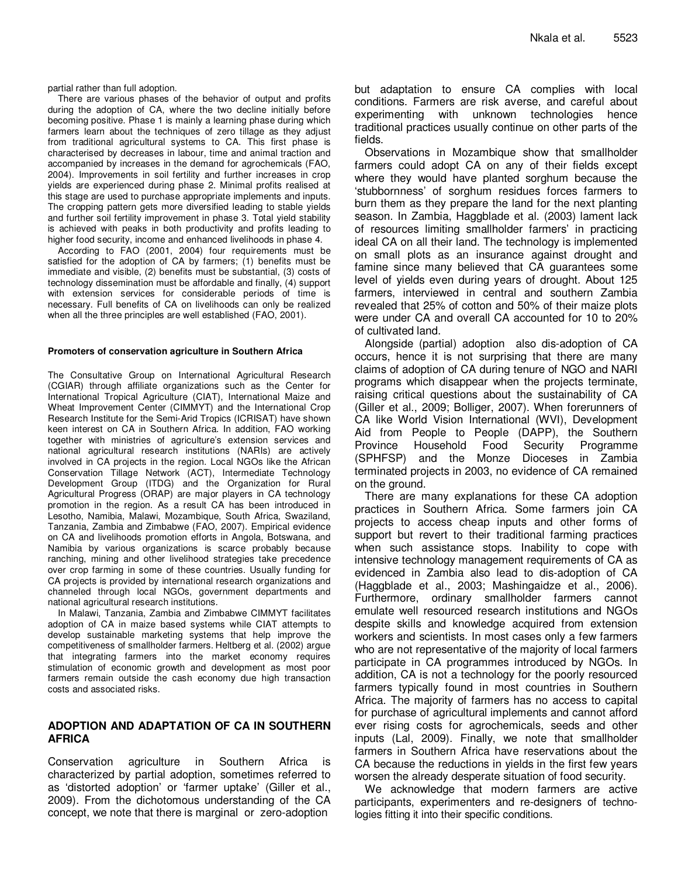partial rather than full adoption.

There are various phases of the behavior of output and profits during the adoption of CA, where the two decline initially before becoming positive. Phase 1 is mainly a learning phase during which farmers learn about the techniques of zero tillage as they adjust from traditional agricultural systems to CA. This first phase is characterised by decreases in labour, time and animal traction and accompanied by increases in the demand for agrochemicals (FAO, 2004). Improvements in soil fertility and further increases in crop yields are experienced during phase 2. Minimal profits realised at this stage are used to purchase appropriate implements and inputs. The cropping pattern gets more diversified leading to stable yields and further soil fertility improvement in phase 3. Total yield stability is achieved with peaks in both productivity and profits leading to higher food security, income and enhanced livelihoods in phase 4.

According to FAO (2001, 2004) four requirements must be satisfied for the adoption of CA by farmers; (1) benefits must be immediate and visible, (2) benefits must be substantial, (3) costs of technology dissemination must be affordable and finally, (4) support with extension services for considerable periods of time is necessary. Full benefits of CA on livelihoods can only be realized when all the three principles are well established (FAO, 2001).

#### **Promoters of conservation agriculture in Southern Africa**

The Consultative Group on International Agricultural Research (CGIAR) through affiliate organizations such as the Center for International Tropical Agriculture (CIAT), International Maize and Wheat Improvement Center (CIMMYT) and the International Crop Research Institute for the Semi-Arid Tropics (ICRISAT) have shown keen interest on CA in Southern Africa. In addition, FAO working together with ministries of agriculture's extension services and national agricultural research institutions (NARIs) are actively involved in CA projects in the region. Local NGOs like the African Conservation Tillage Network (ACT), Intermediate Technology Development Group (ITDG) and the Organization for Rural Agricultural Progress (ORAP) are major players in CA technology promotion in the region. As a result CA has been introduced in Lesotho, Namibia, Malawi, Mozambique, South Africa, Swaziland, Tanzania, Zambia and Zimbabwe (FAO, 2007). Empirical evidence on CA and livelihoods promotion efforts in Angola, Botswana, and Namibia by various organizations is scarce probably because ranching, mining and other livelihood strategies take precedence over crop farming in some of these countries. Usually funding for CA projects is provided by international research organizations and channeled through local NGOs, government departments and national agricultural research institutions.

In Malawi, Tanzania, Zambia and Zimbabwe CIMMYT facilitates adoption of CA in maize based systems while CIAT attempts to develop sustainable marketing systems that help improve the competitiveness of smallholder farmers. Heltberg et al. (2002) argue that integrating farmers into the market economy requires stimulation of economic growth and development as most poor farmers remain outside the cash economy due high transaction costs and associated risks.

## **ADOPTION AND ADAPTATION OF CA IN SOUTHERN AFRICA**

Conservation agriculture in Southern Africa is characterized by partial adoption, sometimes referred to as 'distorted adoption' or 'farmer uptake' (Giller et al., 2009). From the dichotomous understanding of the CA concept, we note that there is marginal or zero-adoption

but adaptation to ensure CA complies with local conditions. Farmers are risk averse, and careful about experimenting with unknown technologies hence traditional practices usually continue on other parts of the fields.

Observations in Mozambique show that smallholder farmers could adopt CA on any of their fields except where they would have planted sorghum because the 'stubbornness' of sorghum residues forces farmers to burn them as they prepare the land for the next planting season. In Zambia, Haggblade et al. (2003) lament lack of resources limiting smallholder farmers' in practicing ideal CA on all their land. The technology is implemented on small plots as an insurance against drought and famine since many believed that CA guarantees some level of yields even during years of drought. About 125 farmers, interviewed in central and southern Zambia revealed that 25% of cotton and 50% of their maize plots were under CA and overall CA accounted for 10 to 20% of cultivated land.

Alongside (partial) adoption also dis-adoption of CA occurs, hence it is not surprising that there are many claims of adoption of CA during tenure of NGO and NARI programs which disappear when the projects terminate, raising critical questions about the sustainability of CA (Giller et al., 2009; Bolliger, 2007). When forerunners of CA like World Vision International (WVI), Development Aid from People to People (DAPP), the Southern Province Household Food Security Programme (SPHFSP) and the Monze Dioceses in Zambia terminated projects in 2003, no evidence of CA remained on the ground.

There are many explanations for these CA adoption practices in Southern Africa. Some farmers join CA projects to access cheap inputs and other forms of support but revert to their traditional farming practices when such assistance stops. Inability to cope with intensive technology management requirements of CA as evidenced in Zambia also lead to dis-adoption of CA (Haggblade et al., 2003; Mashingaidze et al., 2006). Furthermore, ordinary smallholder farmers cannot emulate well resourced research institutions and NGOs despite skills and knowledge acquired from extension workers and scientists. In most cases only a few farmers who are not representative of the majority of local farmers participate in CA programmes introduced by NGOs. In addition, CA is not a technology for the poorly resourced farmers typically found in most countries in Southern Africa. The majority of farmers has no access to capital for purchase of agricultural implements and cannot afford ever rising costs for agrochemicals, seeds and other inputs (Lal, 2009). Finally, we note that smallholder farmers in Southern Africa have reservations about the CA because the reductions in yields in the first few years worsen the already desperate situation of food security.

We acknowledge that modern farmers are active participants, experimenters and re-designers of technologies fitting it into their specific conditions.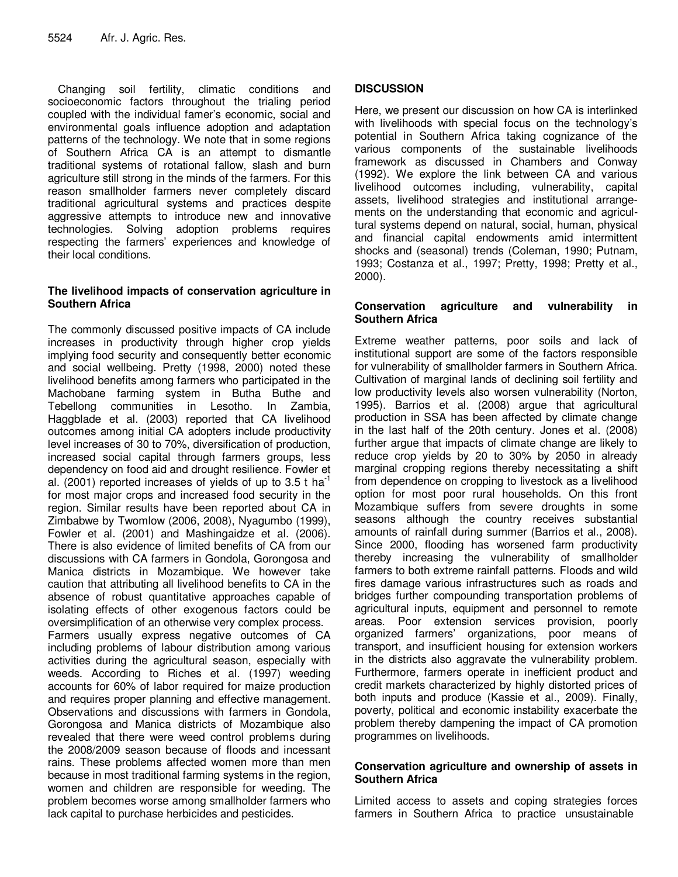Changing soil fertility, climatic conditions and socioeconomic factors throughout the trialing period coupled with the individual famer's economic, social and environmental goals influence adoption and adaptation patterns of the technology. We note that in some regions of Southern Africa CA is an attempt to dismantle traditional systems of rotational fallow, slash and burn agriculture still strong in the minds of the farmers. For this reason smallholder farmers never completely discard traditional agricultural systems and practices despite aggressive attempts to introduce new and innovative technologies. Solving adoption problems requires respecting the farmers' experiences and knowledge of their local conditions.

## **The livelihood impacts of conservation agriculture in Southern Africa**

The commonly discussed positive impacts of CA include increases in productivity through higher crop yields implying food security and consequently better economic and social wellbeing. Pretty (1998, 2000) noted these livelihood benefits among farmers who participated in the Machobane farming system in Butha Buthe and Tebellong communities in Lesotho. In Zambia, Haggblade et al. (2003) reported that CA livelihood outcomes among initial CA adopters include productivity level increases of 30 to 70%, diversification of production, increased social capital through farmers groups, less dependency on food aid and drought resilience. Fowler et al. (2001) reported increases of yields of up to 3.5 t ha<sup>-1</sup> for most major crops and increased food security in the region. Similar results have been reported about CA in Zimbabwe by Twomlow (2006, 2008), Nyagumbo (1999), Fowler et al. (2001) and Mashingaidze et al. (2006). There is also evidence of limited benefits of CA from our discussions with CA farmers in Gondola, Gorongosa and Manica districts in Mozambique. We however take caution that attributing all livelihood benefits to CA in the absence of robust quantitative approaches capable of isolating effects of other exogenous factors could be oversimplification of an otherwise very complex process. Farmers usually express negative outcomes of CA including problems of labour distribution among various activities during the agricultural season, especially with weeds. According to Riches et al. (1997) weeding accounts for 60% of labor required for maize production and requires proper planning and effective management. Observations and discussions with farmers in Gondola, Gorongosa and Manica districts of Mozambique also revealed that there were weed control problems during the 2008/2009 season because of floods and incessant rains. These problems affected women more than men because in most traditional farming systems in the region, women and children are responsible for weeding. The problem becomes worse among smallholder farmers who lack capital to purchase herbicides and pesticides.

## **DISCUSSION**

Here, we present our discussion on how CA is interlinked with livelihoods with special focus on the technology's potential in Southern Africa taking cognizance of the various components of the sustainable livelihoods framework as discussed in Chambers and Conway (1992). We explore the link between CA and various livelihood outcomes including, vulnerability, capital assets, livelihood strategies and institutional arrangements on the understanding that economic and agricultural systems depend on natural, social, human, physical and financial capital endowments amid intermittent shocks and (seasonal) trends (Coleman, 1990; Putnam, 1993; Costanza et al., 1997; Pretty, 1998; Pretty et al., 2000).

#### **Conservation agriculture and vulnerability in Southern Africa**

Extreme weather patterns, poor soils and lack of institutional support are some of the factors responsible for vulnerability of smallholder farmers in Southern Africa. Cultivation of marginal lands of declining soil fertility and low productivity levels also worsen vulnerability (Norton, 1995). Barrios et al. (2008) argue that agricultural production in SSA has been affected by climate change in the last half of the 20th century. Jones et al. (2008) further argue that impacts of climate change are likely to reduce crop yields by 20 to 30% by 2050 in already marginal cropping regions thereby necessitating a shift from dependence on cropping to livestock as a livelihood option for most poor rural households. On this front Mozambique suffers from severe droughts in some seasons although the country receives substantial amounts of rainfall during summer (Barrios et al., 2008). Since 2000, flooding has worsened farm productivity thereby increasing the vulnerability of smallholder farmers to both extreme rainfall patterns. Floods and wild fires damage various infrastructures such as roads and bridges further compounding transportation problems of agricultural inputs, equipment and personnel to remote areas. Poor extension services provision, poorly organized farmers' organizations, poor means of transport, and insufficient housing for extension workers in the districts also aggravate the vulnerability problem. Furthermore, farmers operate in inefficient product and credit markets characterized by highly distorted prices of both inputs and produce (Kassie et al., 2009). Finally, poverty, political and economic instability exacerbate the problem thereby dampening the impact of CA promotion programmes on livelihoods.

## **Conservation agriculture and ownership of assets in Southern Africa**

Limited access to assets and coping strategies forces farmers in Southern Africa to practice unsustainable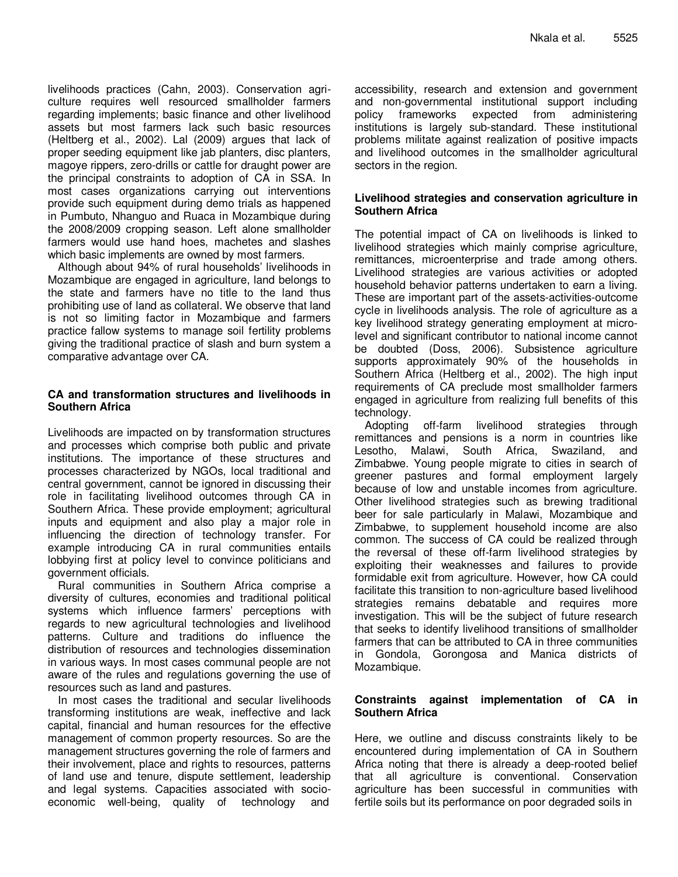livelihoods practices (Cahn, 2003). Conservation agriculture requires well resourced smallholder farmers regarding implements; basic finance and other livelihood assets but most farmers lack such basic resources (Heltberg et al., 2002). Lal (2009) argues that lack of proper seeding equipment like jab planters, disc planters, magoye rippers, zero-drills or cattle for draught power are the principal constraints to adoption of CA in SSA. In most cases organizations carrying out interventions provide such equipment during demo trials as happened in Pumbuto, Nhanguo and Ruaca in Mozambique during the 2008/2009 cropping season. Left alone smallholder farmers would use hand hoes, machetes and slashes which basic implements are owned by most farmers.

Although about 94% of rural households' livelihoods in Mozambique are engaged in agriculture, land belongs to the state and farmers have no title to the land thus prohibiting use of land as collateral. We observe that land is not so limiting factor in Mozambique and farmers practice fallow systems to manage soil fertility problems giving the traditional practice of slash and burn system a comparative advantage over CA.

## **CA and transformation structures and livelihoods in Southern Africa**

Livelihoods are impacted on by transformation structures and processes which comprise both public and private institutions. The importance of these structures and processes characterized by NGOs, local traditional and central government, cannot be ignored in discussing their role in facilitating livelihood outcomes through CA in Southern Africa. These provide employment; agricultural inputs and equipment and also play a major role in influencing the direction of technology transfer. For example introducing CA in rural communities entails lobbying first at policy level to convince politicians and government officials.

Rural communities in Southern Africa comprise a diversity of cultures, economies and traditional political systems which influence farmers' perceptions with regards to new agricultural technologies and livelihood patterns. Culture and traditions do influence the distribution of resources and technologies dissemination in various ways. In most cases communal people are not aware of the rules and regulations governing the use of resources such as land and pastures.

In most cases the traditional and secular livelihoods transforming institutions are weak, ineffective and lack capital, financial and human resources for the effective management of common property resources. So are the management structures governing the role of farmers and their involvement, place and rights to resources, patterns of land use and tenure, dispute settlement, leadership and legal systems. Capacities associated with socioeconomic well-being, quality of technology and

accessibility, research and extension and government and non-governmental institutional support including policy frameworks expected from administering institutions is largely sub-standard. These institutional problems militate against realization of positive impacts and livelihood outcomes in the smallholder agricultural sectors in the region.

## **Livelihood strategies and conservation agriculture in Southern Africa**

The potential impact of CA on livelihoods is linked to livelihood strategies which mainly comprise agriculture, remittances, microenterprise and trade among others. Livelihood strategies are various activities or adopted household behavior patterns undertaken to earn a living. These are important part of the assets-activities-outcome cycle in livelihoods analysis. The role of agriculture as a key livelihood strategy generating employment at microlevel and significant contributor to national income cannot be doubted (Doss, 2006). Subsistence agriculture supports approximately 90% of the households in Southern Africa (Heltberg et al., 2002). The high input requirements of CA preclude most smallholder farmers engaged in agriculture from realizing full benefits of this technology.

Adopting off-farm livelihood strategies through remittances and pensions is a norm in countries like Lesotho, Malawi, South Africa, Swaziland, and Zimbabwe. Young people migrate to cities in search of greener pastures and formal employment largely because of low and unstable incomes from agriculture. Other livelihood strategies such as brewing traditional beer for sale particularly in Malawi, Mozambique and Zimbabwe, to supplement household income are also common. The success of CA could be realized through the reversal of these off-farm livelihood strategies by exploiting their weaknesses and failures to provide formidable exit from agriculture. However, how CA could facilitate this transition to non-agriculture based livelihood strategies remains debatable and requires more investigation. This will be the subject of future research that seeks to identify livelihood transitions of smallholder farmers that can be attributed to CA in three communities in Gondola, Gorongosa and Manica districts of Mozambique.

## **Constraints against implementation of CA in Southern Africa**

Here, we outline and discuss constraints likely to be encountered during implementation of CA in Southern Africa noting that there is already a deep-rooted belief that all agriculture is conventional. Conservation agriculture has been successful in communities with fertile soils but its performance on poor degraded soils in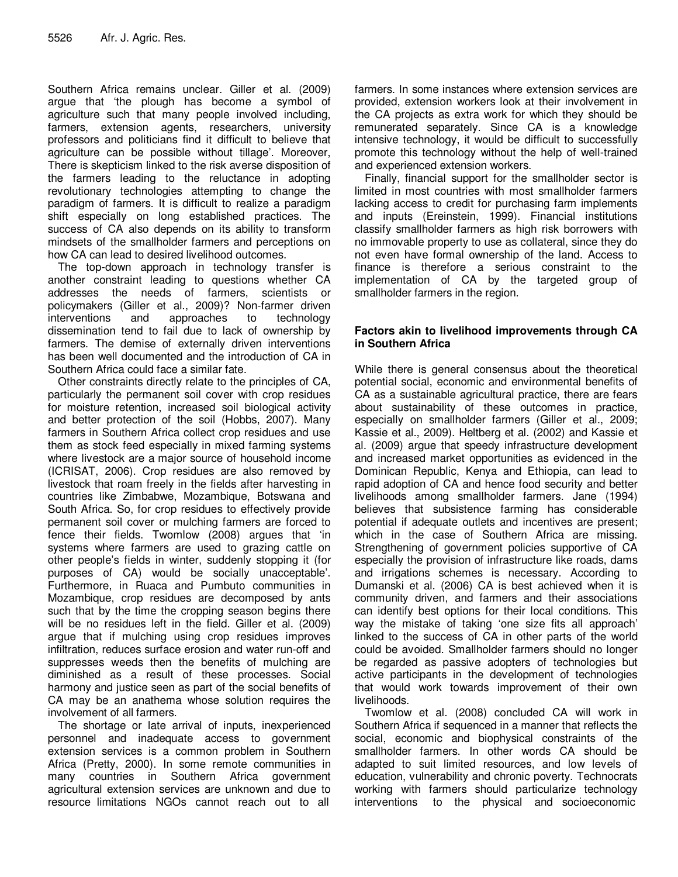Southern Africa remains unclear. Giller et al. (2009) argue that 'the plough has become a symbol of agriculture such that many people involved including, farmers, extension agents, researchers, university professors and politicians find it difficult to believe that agriculture can be possible without tillage'. Moreover, There is skepticism linked to the risk averse disposition of the farmers leading to the reluctance in adopting revolutionary technologies attempting to change the paradigm of farmers. It is difficult to realize a paradigm shift especially on long established practices. The success of CA also depends on its ability to transform mindsets of the smallholder farmers and perceptions on how CA can lead to desired livelihood outcomes.

The top-down approach in technology transfer is another constraint leading to questions whether CA addresses the needs of farmers, scientists or policymakers (Giller et al., 2009)? Non-farmer driven interventions and approaches to technology dissemination tend to fail due to lack of ownership by farmers. The demise of externally driven interventions has been well documented and the introduction of CA in Southern Africa could face a similar fate.

Other constraints directly relate to the principles of CA, particularly the permanent soil cover with crop residues for moisture retention, increased soil biological activity and better protection of the soil (Hobbs, 2007). Many farmers in Southern Africa collect crop residues and use them as stock feed especially in mixed farming systems where livestock are a major source of household income (ICRISAT, 2006). Crop residues are also removed by livestock that roam freely in the fields after harvesting in countries like Zimbabwe, Mozambique, Botswana and South Africa. So, for crop residues to effectively provide permanent soil cover or mulching farmers are forced to fence their fields. Twomlow (2008) argues that 'in systems where farmers are used to grazing cattle on other people's fields in winter, suddenly stopping it (for purposes of CA) would be socially unacceptable'. Furthermore, in Ruaca and Pumbuto communities in Mozambique, crop residues are decomposed by ants such that by the time the cropping season begins there will be no residues left in the field. Giller et al. (2009) argue that if mulching using crop residues improves infiltration, reduces surface erosion and water run-off and suppresses weeds then the benefits of mulching are diminished as a result of these processes. Social harmony and justice seen as part of the social benefits of CA may be an anathema whose solution requires the involvement of all farmers.

The shortage or late arrival of inputs, inexperienced personnel and inadequate access to government extension services is a common problem in Southern Africa (Pretty, 2000). In some remote communities in many countries in Southern Africa government agricultural extension services are unknown and due to resource limitations NGOs cannot reach out to all

farmers. In some instances where extension services are provided, extension workers look at their involvement in the CA projects as extra work for which they should be remunerated separately. Since CA is a knowledge intensive technology, it would be difficult to successfully promote this technology without the help of well-trained and experienced extension workers.

Finally, financial support for the smallholder sector is limited in most countries with most smallholder farmers lacking access to credit for purchasing farm implements and inputs (Ereinstein, 1999). Financial institutions classify smallholder farmers as high risk borrowers with no immovable property to use as collateral, since they do not even have formal ownership of the land. Access to finance is therefore a serious constraint to the implementation of CA by the targeted group of smallholder farmers in the region.

## **Factors akin to livelihood improvements through CA in Southern Africa**

While there is general consensus about the theoretical potential social, economic and environmental benefits of CA as a sustainable agricultural practice, there are fears about sustainability of these outcomes in practice, especially on smallholder farmers (Giller et al., 2009; Kassie et al., 2009). Heltberg et al. (2002) and Kassie et al. (2009) argue that speedy infrastructure development and increased market opportunities as evidenced in the Dominican Republic, Kenya and Ethiopia, can lead to rapid adoption of CA and hence food security and better livelihoods among smallholder farmers. Jane (1994) believes that subsistence farming has considerable potential if adequate outlets and incentives are present; which in the case of Southern Africa are missing. Strengthening of government policies supportive of CA especially the provision of infrastructure like roads, dams and irrigations schemes is necessary. According to Dumanski et al. (2006) CA is best achieved when it is community driven, and farmers and their associations can identify best options for their local conditions. This way the mistake of taking 'one size fits all approach' linked to the success of CA in other parts of the world could be avoided. Smallholder farmers should no longer be regarded as passive adopters of technologies but active participants in the development of technologies that would work towards improvement of their own livelihoods.

Twomlow et al. (2008) concluded CA will work in Southern Africa if sequenced in a manner that reflects the social, economic and biophysical constraints of the smallholder farmers. In other words CA should be adapted to suit limited resources, and low levels of education, vulnerability and chronic poverty. Technocrats working with farmers should particularize technology interventions to the physical and socioeconomic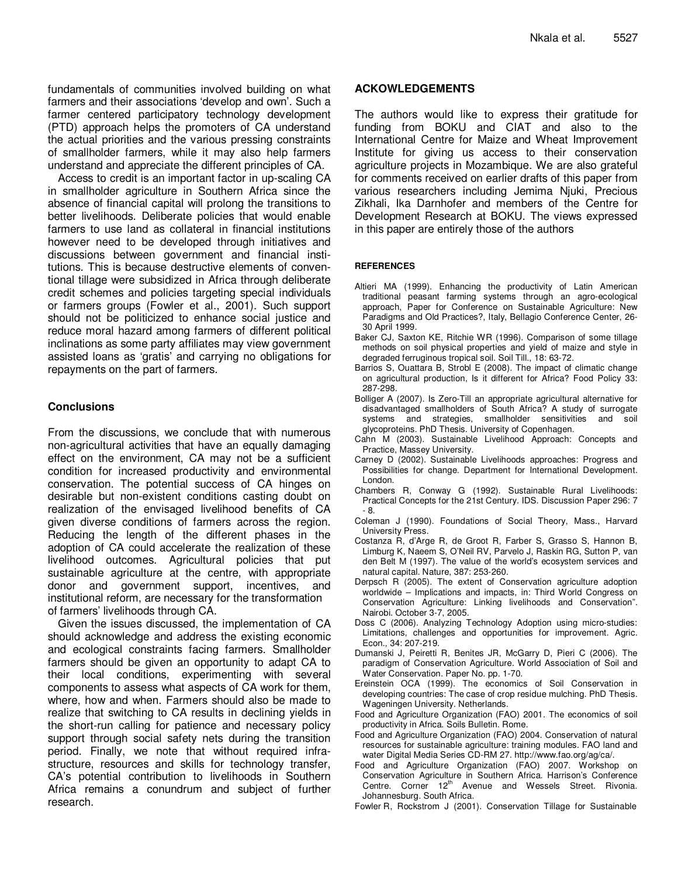fundamentals of communities involved building on what farmers and their associations 'develop and own'. Such a farmer centered participatory technology development (PTD) approach helps the promoters of CA understand the actual priorities and the various pressing constraints of smallholder farmers, while it may also help farmers understand and appreciate the different principles of CA.

Access to credit is an important factor in up-scaling CA in smallholder agriculture in Southern Africa since the absence of financial capital will prolong the transitions to better livelihoods. Deliberate policies that would enable farmers to use land as collateral in financial institutions however need to be developed through initiatives and discussions between government and financial institutions. This is because destructive elements of conventional tillage were subsidized in Africa through deliberate credit schemes and policies targeting special individuals or farmers groups (Fowler et al., 2001). Such support should not be politicized to enhance social justice and reduce moral hazard among farmers of different political inclinations as some party affiliates may view government assisted loans as 'gratis' and carrying no obligations for repayments on the part of farmers.

## **Conclusions**

From the discussions, we conclude that with numerous non-agricultural activities that have an equally damaging effect on the environment, CA may not be a sufficient condition for increased productivity and environmental conservation. The potential success of CA hinges on desirable but non-existent conditions casting doubt on realization of the envisaged livelihood benefits of CA given diverse conditions of farmers across the region. Reducing the length of the different phases in the adoption of CA could accelerate the realization of these livelihood outcomes. Agricultural policies that put sustainable agriculture at the centre, with appropriate donor and government support, incentives, and institutional reform, are necessary for the transformation of farmers' livelihoods through CA.

Given the issues discussed, the implementation of CA should acknowledge and address the existing economic and ecological constraints facing farmers. Smallholder farmers should be given an opportunity to adapt CA to their local conditions, experimenting with several components to assess what aspects of CA work for them, where, how and when. Farmers should also be made to realize that switching to CA results in declining yields in the short-run calling for patience and necessary policy support through social safety nets during the transition period. Finally, we note that without required infrastructure, resources and skills for technology transfer, CA's potential contribution to livelihoods in Southern Africa remains a conundrum and subject of further research.

#### **ACKOWLEDGEMENTS**

The authors would like to express their gratitude for funding from BOKU and CIAT and also to the International Centre for Maize and Wheat Improvement Institute for giving us access to their conservation agriculture projects in Mozambique. We are also grateful for comments received on earlier drafts of this paper from various researchers including Jemima Njuki, Precious Zikhali, Ika Darnhofer and members of the Centre for Development Research at BOKU. The views expressed in this paper are entirely those of the authors

#### **REFERENCES**

- Altieri MA (1999). Enhancing the productivity of Latin American traditional peasant farming systems through an agro-ecological approach, Paper for Conference on Sustainable Agriculture: New Paradigms and Old Practices?, Italy, Bellagio Conference Center, 26- 30 April 1999.
- Baker CJ, Saxton KE, Ritchie WR (1996). Comparison of some tillage methods on soil physical properties and yield of maize and style in degraded ferruginous tropical soil. Soil Till., 18: 63-72.
- Barrios S, Ouattara B, Strobl E (2008). The impact of climatic change on agricultural production, Is it different for Africa? Food Policy 33: 287-298.
- Bolliger A (2007). Is Zero-Till an appropriate agricultural alternative for disadvantaged smallholders of South Africa? A study of surrogate systems and strategies, smallholder sensitivities and soil glycoproteins. PhD Thesis. University of Copenhagen.
- Cahn M (2003). Sustainable Livelihood Approach: Concepts and Practice, Massey University.
- Carney D (2002). Sustainable Livelihoods approaches: Progress and Possibilities for change. Department for International Development. London.
- Chambers R, Conway G (1992). Sustainable Rural Livelihoods: Practical Concepts for the 21st Century. IDS. Discussion Paper 296: 7 - 8.
- Coleman J (1990). Foundations of Social Theory, Mass., Harvard University Press.
- Costanza R, d'Arge R, de Groot R, Farber S, Grasso S, Hannon B, Limburg K, Naeem S, O'Neil RV, Parvelo J, Raskin RG, Sutton P, van den Belt M (1997). The value of the world's ecosystem services and natural capital. Nature, 387: 253-260.
- Derpsch R (2005). The extent of Conservation agriculture adoption worldwide – Implications and impacts, in: Third World Congress on Conservation Agriculture: Linking livelihoods and Conservation". Nairobi. October 3-7, 2005.
- Doss C (2006). Analyzing Technology Adoption using micro-studies: Limitations, challenges and opportunities for improvement. Agric. Econ., 34: 207-219.
- Dumanski J, Peiretti R, Benites JR, McGarry D, Pieri C (2006). The paradigm of Conservation Agriculture. World Association of Soil and Water Conservation. Paper No. pp. 1-70.
- Ereinstein OCA (1999). The economics of Soil Conservation in developing countries: The case of crop residue mulching. PhD Thesis. Wageningen University. Netherlands.
- Food and Agriculture Organization (FAO) 2001. The economics of soil productivity in Africa. Soils Bulletin. Rome.
- Food and Agriculture Organization (FAO) 2004. Conservation of natural resources for sustainable agriculture: training modules. FAO land and water Digital Media Series CD-RM 27. http://www.fao.org/ag/ca/.
- Food and Agriculture Organization (FAO) 2007. Workshop on Conservation Agriculture in Southern Africa. Harrison's Conference Centre. Corner 12<sup>th</sup> Avenue and Wessels Street. Rivonia. Johannesburg. South Africa.
- Fowler R, Rockstrom J (2001). Conservation Tillage for Sustainable